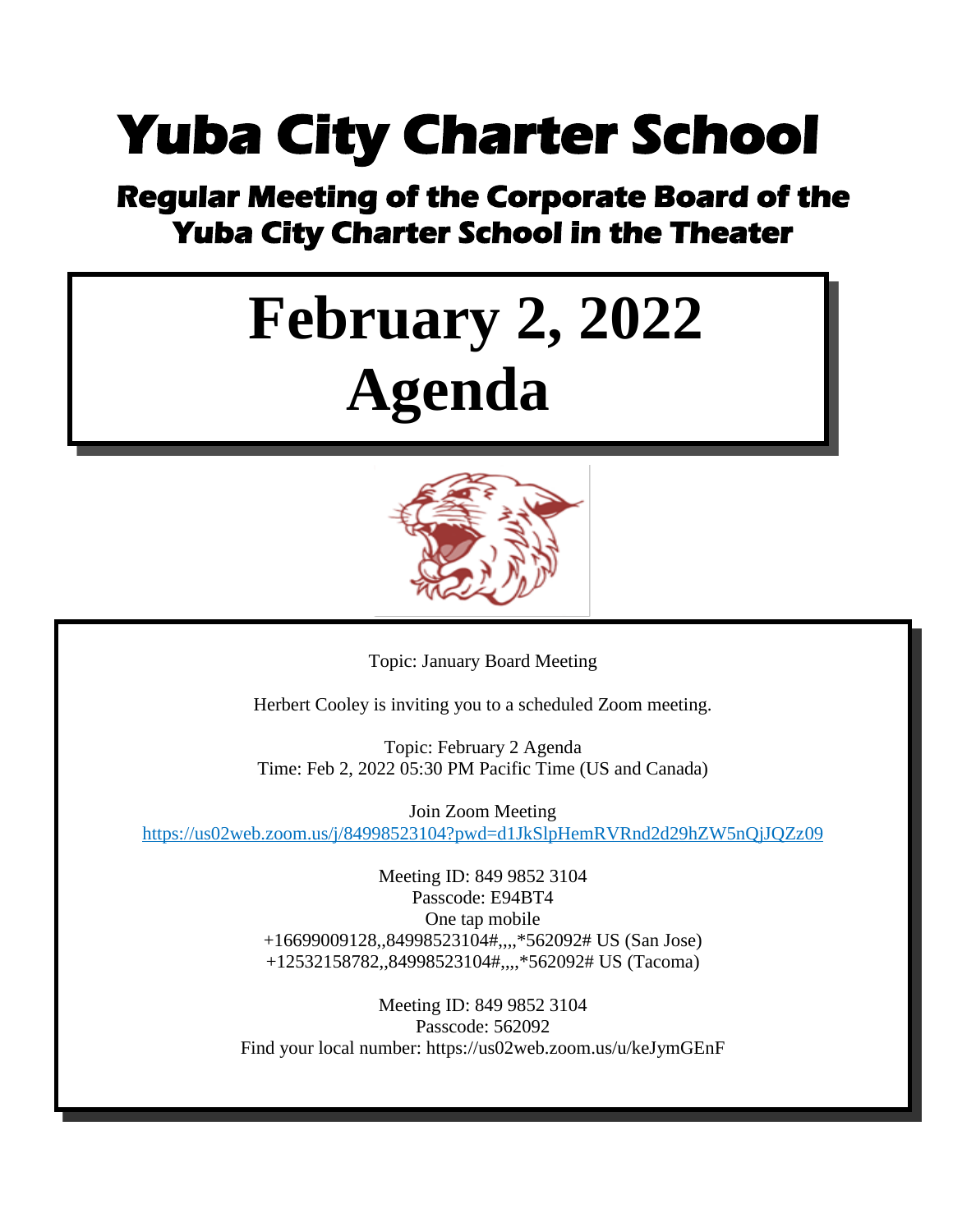### **Yuba City Charter School**

## **Regular Meeting of the Corporate Board of the Yuba City Charter School in the Theater**

# **February 2, 2022 Agenda**



Topic: January Board Meeting

Herbert Cooley is inviting you to a scheduled Zoom meeting.

Topic: February 2 Agenda Time: Feb 2, 2022 05:30 PM Pacific Time (US and Canada)

Join Zoom Meeting <https://us02web.zoom.us/j/84998523104?pwd=d1JkSlpHemRVRnd2d29hZW5nQjJQZz09>

> Meeting ID: 849 9852 3104 Passcode: E94BT4 One tap mobile +16699009128,,84998523104#,,,,\*562092# US (San Jose) +12532158782,,84998523104#,,,,\*562092# US (Tacoma)

Meeting ID: 849 9852 3104 Passcode: 562092 Find your local number: https://us02web.zoom.us/u/keJymGEnF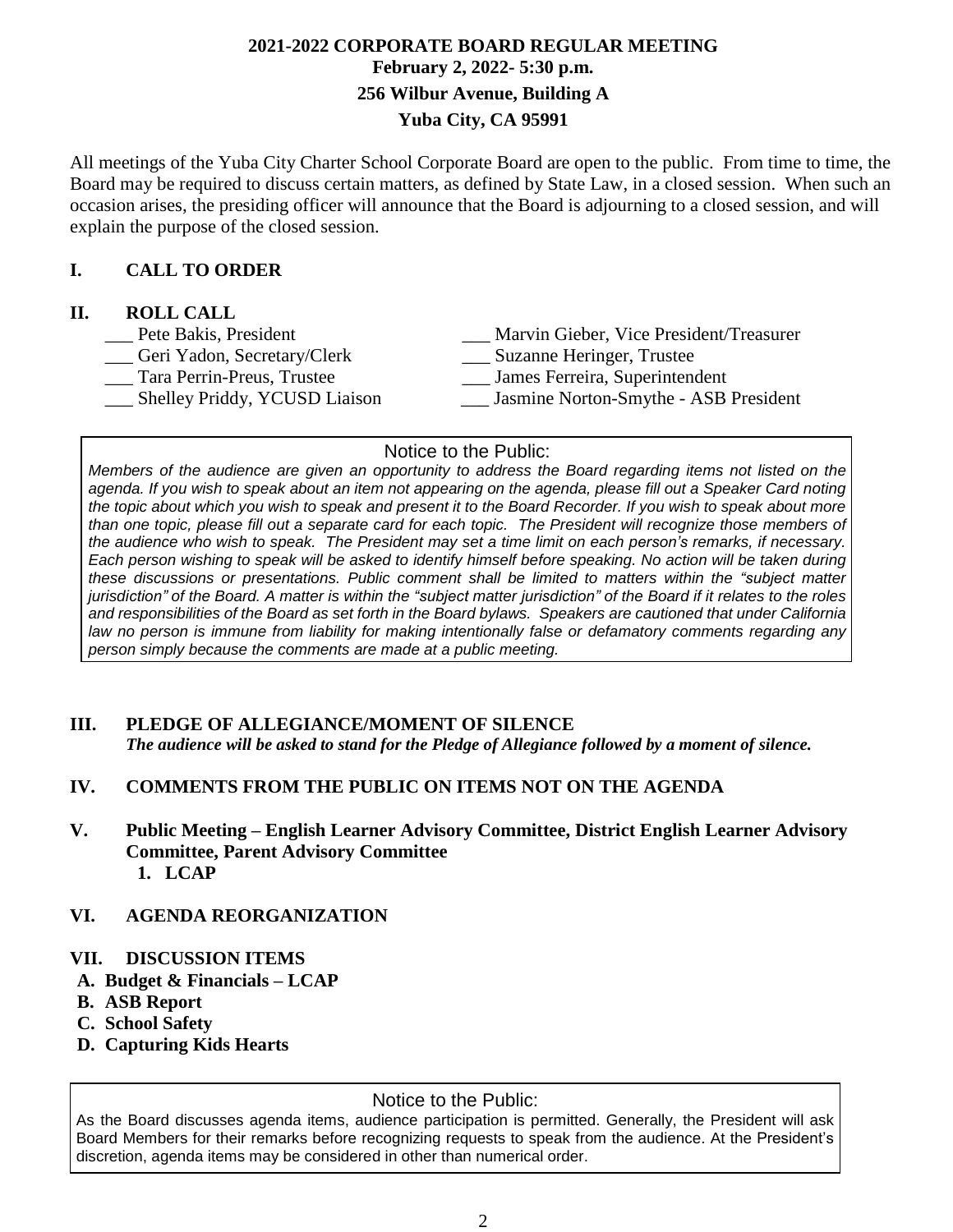#### **2021-2022 CORPORATE BOARD REGULAR MEETING February 2, 2022- 5:30 p.m. 256 Wilbur Avenue, Building A Yuba City, CA 95991**

All meetings of the Yuba City Charter School Corporate Board are open to the public. From time to time, the Board may be required to discuss certain matters, as defined by State Law, in a closed session. When such an occasion arises, the presiding officer will announce that the Board is adjourning to a closed session, and will explain the purpose of the closed session.

#### **I. CALL TO ORDER**

#### **II. ROLL CALL**

| Pete Bakis, President         | Marvin Gieber, Vice President/Treasurer |
|-------------------------------|-----------------------------------------|
| Geri Yadon, Secretary/Clerk   | Suzanne Heringer, Trustee               |
| Tara Perrin-Preus, Trustee    | James Ferreira, Superintendent          |
| Shelley Priddy, YCUSD Liaison | Jasmine Norton-Smythe - ASB President   |
|                               |                                         |

#### Notice to the Public:

Members of the audience are given an opportunity to address the Board regarding items not listed on the agenda. If you wish to speak about an item not appearing on the agenda, please fill out a Speaker Card noting the topic about which you wish to speak and present it to the Board Recorder. If you wish to speak about more than one topic, please fill out a separate card for each topic. The President will recognize those members of the audience who wish to speak. The President may set a time limit on each person's remarks, if necessary. Each person wishing to speak will be asked to identify himself before speaking. No action will be taken during *these discussions or presentations. Public comment shall be limited to matters within the "subject matter* jurisdiction" of the Board. A matter is within the "subject matter jurisdiction" of the Board if it relates to the roles and responsibilities of the Board as set forth in the Board bylaws. Speakers are cautioned that under California *law no person is immune from liability for making intentionally false or defamatory comments regarding any person simply because the comments are made at a public meeting.*

#### **III. PLEDGE OF ALLEGIANCE/MOMENT OF SILENCE**

*The audience will be asked to stand for the Pledge of Allegiance followed by a moment of silence.*

#### **IV. COMMENTS FROM THE PUBLIC ON ITEMS NOT ON THE AGENDA**

**V. Public Meeting – English Learner Advisory Committee, District English Learner Advisory Committee, Parent Advisory Committee 1. LCAP**

#### **VI. AGENDA REORGANIZATION**

- **VII. DISCUSSION ITEMS**
- **A. Budget & Financials – LCAP**
- **B. ASB Report**
- **C. School Safety**
- **D. Capturing Kids Hearts**

#### Notice to the Public:

As the Board discusses agenda items, audience participation is permitted. Generally, the President will ask Board Members for their remarks before recognizing requests to speak from the audience. At the President's discretion, agenda items may be considered in other than numerical order.